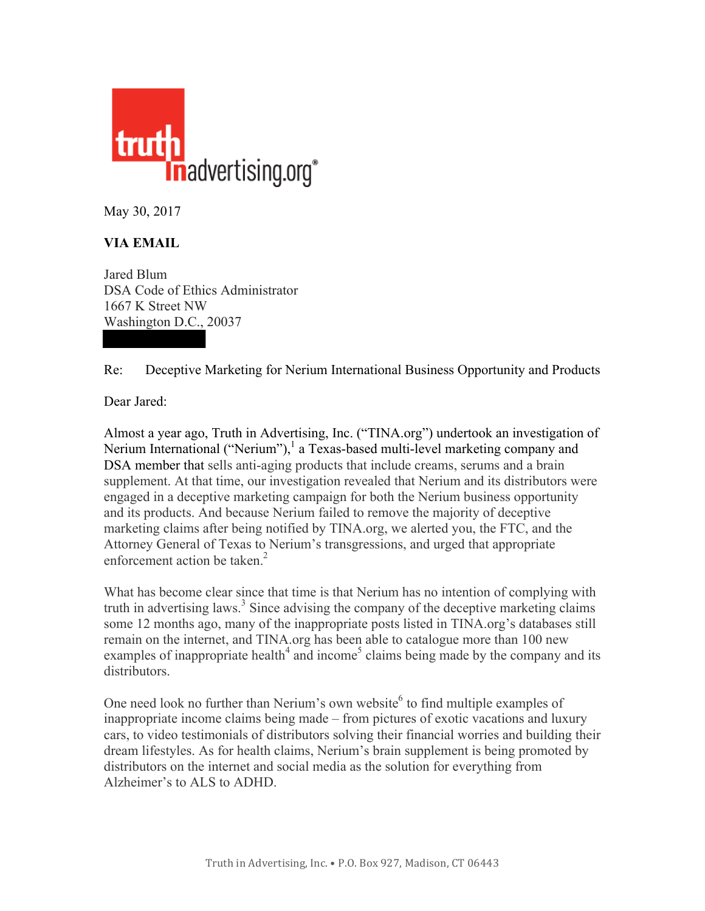

May 30, 2017

## **VIA EMAIL**

Jared Blum DSA Code of Ethics Administrator 1667 K Street NW Washington D.C., 20037

Re: Deceptive Marketing for Nerium International Business Opportunity and Products

Dear Jared:

Almost a year ago, Truth in Advertising, Inc. ("TINA.org") undertook an investigation of Nerium International ("Nerium"),<sup>1</sup> a Texas-based multi-level marketing company and DSA member that sells anti-aging products that include creams, serums and a brain supplement. At that time, our investigation revealed that Nerium and its distributors were engaged in a deceptive marketing campaign for both the Nerium business opportunity and its products. And because Nerium failed to remove the majority of deceptive marketing claims after being notified by TINA.org, we alerted you, the FTC, and the Attorney General of Texas to Nerium's transgressions, and urged that appropriate enforcement action be taken. $2$ 

What has become clear since that time is that Nerium has no intention of complying with truth in advertising laws.<sup>3</sup> Since advising the company of the deceptive marketing claims some 12 months ago, many of the inappropriate posts listed in TINA.org's databases still remain on the internet, and TINA.org has been able to catalogue more than 100 new examples of inappropriate health<sup>4</sup> and income<sup>5</sup> claims being made by the company and its distributors.

One need look no further than Nerium's own website<sup>6</sup> to find multiple examples of inappropriate income claims being made – from pictures of exotic vacations and luxury cars, to video testimonials of distributors solving their financial worries and building their dream lifestyles. As for health claims, Nerium's brain supplement is being promoted by distributors on the internet and social media as the solution for everything from Alzheimer's to ALS to ADHD.